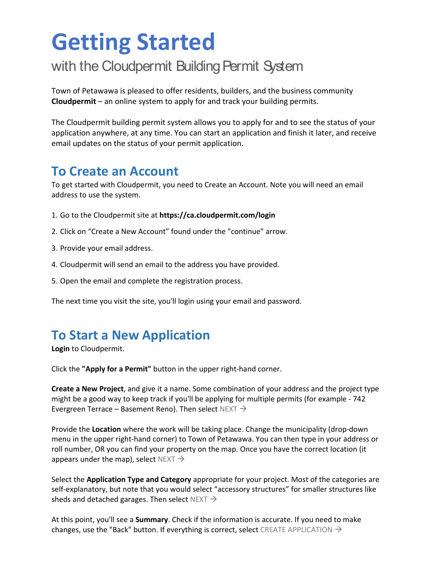# **Getting Started**

# with the Cloudpermit Building Permit System

Town of Petawawa is pleased to offer residents, builders, and the business community **Cloudpermit** – an online system to apply for and track your building permits.

The Cloudpermit building permit system allows you to apply for and to see the status of your application anywhere, at any time. You can start an application and finish it later, and receive email updates on the status of your permit application.

### **To Create an Account**

To get started with Cloudpermit, you need to Create an Account. Note you will need an email address to use the system.

- 1. Go to the Cloudpermit site at **https://ca.cloudpermit.com/login**
- 2. Click on "Create a New Account" found under the "continue" arrow.
- 3. Provide your email address.
- 4. Cloudpermit will send an email to the address you have provided.
- 5. Open the email and complete the registration process.

The next time you visit the site, you'll login using your email and password.

# **To Start a New Application**

**Login** to Cloudpermit.

Click the **"Apply for a Permit"** button in the upper right-hand corner.

**Create a New Project**, and give it a name. Some combination of your address and the project type might be a good way to keep track if you'll be applying for multiple permits (for example - 742 Evergreen Terrace – Basement Reno). Then select NEXT  $\rightarrow$ 

Provide the **Location** where the work will be taking place. Change the municipality (drop-down menu in the upper right-hand corner) to Town of Petawawa. You can then type in your address or roll number, OR you can find your property on the map. Once you have the correct location (it appears under the map), select NEXT  $\rightarrow$ 

Select the **Application Type and Category** appropriate for your project. Most of the categories are self-explanatory, but note that you would select "accessory structures" for smaller structures like sheds and detached garages. Then select NEXT  $\rightarrow$ 

At this point, you'll see a **Summary**. Check if the information is accurate. If you need to make changes, use the "Back" button. If everything is correct, select CREATE APPLICATION  $\rightarrow$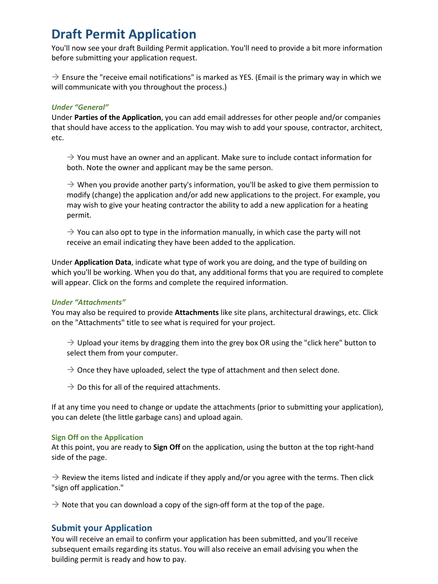## **Draft Permit Application**

You'll now see your draft Building Permit application. You'll need to provide a bit more information before submitting your application request.

 $\rightarrow$  Ensure the "receive email notifications" is marked as YES. (Email is the primary way in which we will communicate with you throughout the process.)

#### *Under "General"*

Under **Parties of the Application**, you can add email addresses for other people and/or companies that should have access to the application. You may wish to add your spouse, contractor, architect, etc.

 $\rightarrow$  You must have an owner and an applicant. Make sure to include contact information for both. Note the owner and applicant may be the same person.

 $\rightarrow$  When you provide another party's information, you'll be asked to give them permission to modify (change) the application and/or add new applications to the project. For example, you may wish to give your heating contractor the ability to add a new application for a heating permit.

 $\rightarrow$  You can also opt to type in the information manually, in which case the party will not receive an email indicating they have been added to the application.

Under **Application Data**, indicate what type of work you are doing, and the type of building on which you'll be working. When you do that, any additional forms that you are required to complete will appear. Click on the forms and complete the required information.

#### *Under "Attachments"*

You may also be required to provide **Attachments** like site plans, architectural drawings, etc. Click on the "Attachments" title to see what is required for your project.

 $\rightarrow$  Upload your items by dragging them into the grey box OR using the "click here" button to select them from your computer.

 $\rightarrow$  Once they have uploaded, select the type of attachment and then select done.

 $\rightarrow$  Do this for all of the required attachments.

If at any time you need to change or update the attachments (prior to submitting your application), you can delete (the little garbage cans) and upload again.

#### **Sign Off on the Application**

At this point, you are ready to **Sign Off** on the application, using the button at the top right-hand side of the page.

 $\rightarrow$  Review the items listed and indicate if they apply and/or you agree with the terms. Then click "sign off application."

 $\rightarrow$  Note that you can download a copy of the sign-off form at the top of the page.

#### **Submit your Application**

You will receive an email to confirm your application has been submitted, and you'll receive subsequent emails regarding its status. You will also receive an email advising you when the building permit is ready and how to pay.